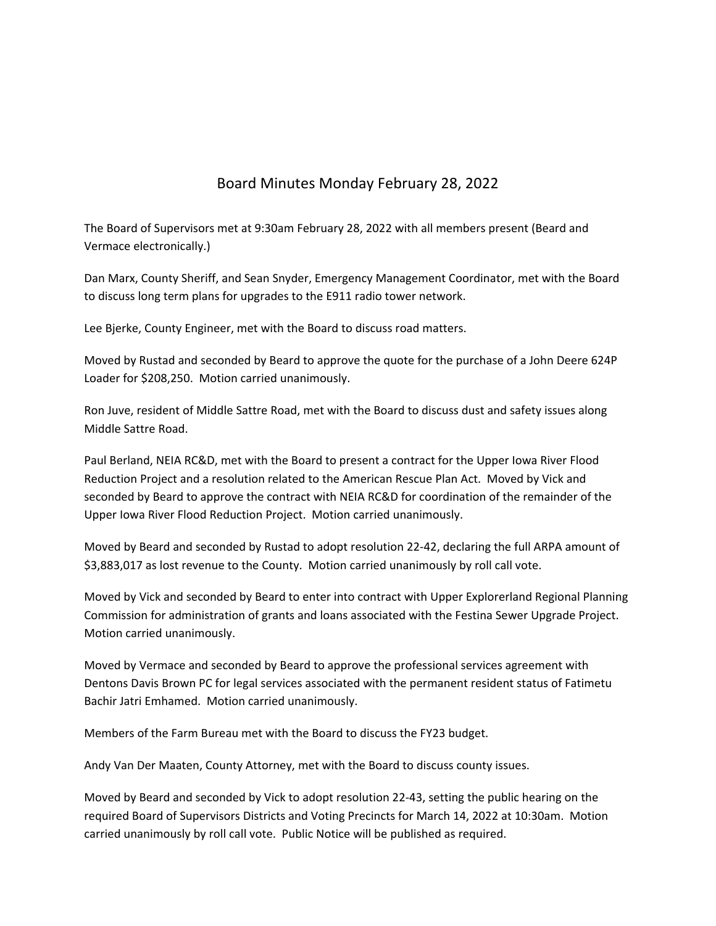## Board Minutes Monday February 28, 2022

The Board of Supervisors met at 9:30am February 28, 2022 with all members present (Beard and Vermace electronically.)

Dan Marx, County Sheriff, and Sean Snyder, Emergency Management Coordinator, met with the Board to discuss long term plans for upgrades to the E911 radio tower network.

Lee Bjerke, County Engineer, met with the Board to discuss road matters.

Moved by Rustad and seconded by Beard to approve the quote for the purchase of a John Deere 624P Loader for \$208,250. Motion carried unanimously.

Ron Juve, resident of Middle Sattre Road, met with the Board to discuss dust and safety issues along Middle Sattre Road.

Paul Berland, NEIA RC&D, met with the Board to present a contract for the Upper Iowa River Flood Reduction Project and a resolution related to the American Rescue Plan Act. Moved by Vick and seconded by Beard to approve the contract with NEIA RC&D for coordination of the remainder of the Upper Iowa River Flood Reduction Project. Motion carried unanimously.

Moved by Beard and seconded by Rustad to adopt resolution 22‐42, declaring the full ARPA amount of \$3,883,017 as lost revenue to the County. Motion carried unanimously by roll call vote.

Moved by Vick and seconded by Beard to enter into contract with Upper Explorerland Regional Planning Commission for administration of grants and loans associated with the Festina Sewer Upgrade Project. Motion carried unanimously.

Moved by Vermace and seconded by Beard to approve the professional services agreement with Dentons Davis Brown PC for legal services associated with the permanent resident status of Fatimetu Bachir Jatri Emhamed. Motion carried unanimously.

Members of the Farm Bureau met with the Board to discuss the FY23 budget.

Andy Van Der Maaten, County Attorney, met with the Board to discuss county issues.

Moved by Beard and seconded by Vick to adopt resolution 22‐43, setting the public hearing on the required Board of Supervisors Districts and Voting Precincts for March 14, 2022 at 10:30am. Motion carried unanimously by roll call vote. Public Notice will be published as required.